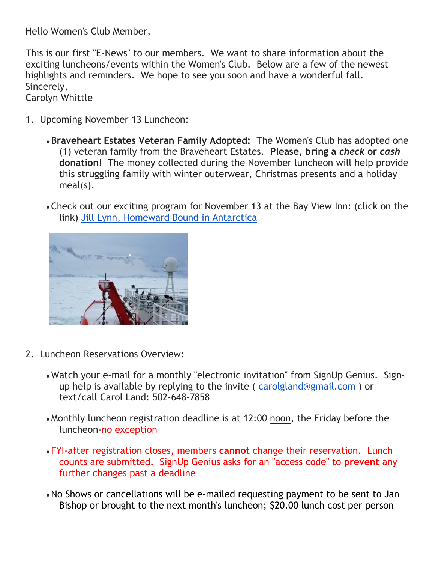Hello Women's Club Member,

This is our first "E-News" to our members. We want to share information about the exciting luncheons/events within the Women's Club. Below are a few of the newest highlights and reminders. We hope to see you soon and have a wonderful fall. Sincerely,

Carolyn Whittle

- 1. Upcoming November 13 Luncheon:
	- **Braveheart Estates Veteran Family Adopted:** The Women's Club has adopted one (1) veteran family from the Braveheart Estates. **Please, bring a** *check* **or** *cash*  **donation!** The money collected during the November luncheon will help provide this struggling family with winter outerwear, Christmas presents and a holiday meal(s).
	- Check out our exciting program for November 13 at the Bay View Inn: (click on the link) [Jill Lynn, Homeward Bound in Antarctica](https://atwork.avma.org/2018/02/13/avma-members-join-expedition-to-antarctica)



- 2. Luncheon Reservations Overview:
	- Watch your e-mail for a monthly "electronic invitation" from SignUp Genius. Signup help is available by replying to the invite ( [carolgland@gmail.com](mailto:carolgland@gmail.com) ) or text/call Carol Land: 502-648-7858
	- Monthly luncheon registration deadline is at 12:00 noon*,* the Friday before the luncheon-no exception
	- FYI-after registration closes, members **cannot** change their reservation. Lunch counts are submitted. SignUp Genius asks for an "access code" to **prevent** any further changes past a deadline
	- •No Shows or cancellations will be e-mailed requesting payment to be sent to Jan Bishop or brought to the next month's luncheon; \$20.00 lunch cost per person